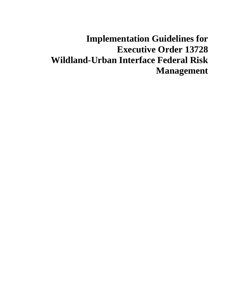# **Implementation Guidelines for Executive Order 13728 Wildland-Urban Interface Federal Risk Management**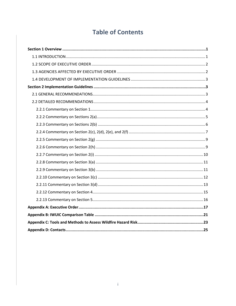## **Table of Contents**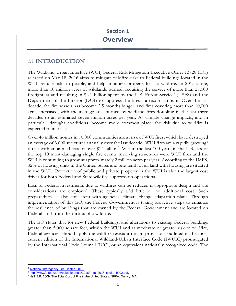## <span id="page-2-1"></span><span id="page-2-0"></span>**1.1 INTRODUCTION**

The Wildland-Urban Interface (WUI) Federal Risk Mitigation Executive Order 13728 (EO) released on May 18, 2016 aims to mitigate wildfire risks to Federal buildings located in the WUI, reduce risks to people, and help minimize property loss to wildfire. In 2015 alone, more than 10 million acres of wildlands burned, requiring the service of more than 27,000 firefighters and resulting in \$2.[1](#page-2-2) billion spent by the U.S. Forest Service<sup>1</sup> (USFS) and the Department of the Interior (DOI) to suppress the fires—a record amount. Over the last decade, the fire season has become 2.5 months longer, and fires covering more than 10,000 acres increased, with the average area burned by wildland fires doubling in the last three decades to an estimated seven million acres per year. As climate change impacts, and in particular, drought conditions, become more common place, the risk due to wildfire is expected to increase.

Over 46 million homes in 70,000 communities are at risk of WUI fires, which have destroyed an average of 3,000 structures annually over the last decade. WUI fires are a rapidly growing<sup>[2](#page-2-3)</sup> threat with an annual loss of over \$14 billion<sup>[3](#page-2-4)</sup>. Within the last 100 years in the U.S., six of the top 10 most damaging single fire events involving structures were WUI fires and the WUI is continuing to grow at approximately 2 million acres per year. According to the USFS, 32% of housing units in the United States and one-tenth of all land with housing are situated in the WUI. Protection of public and private property in the WUI is also the largest cost driver for both Federal and State wildfire suppression operations.

Loss of Federal investments due to wildfires can be reduced if appropriate design and site considerations are employed. These typically add little or no additional cost. Such preparedness is also consistent with agencies' climate change adaptation plans. Through implementation of this EO, the Federal Government is taking proactive steps to enhance the resilience of buildings that are owned by the Federal Government and are located on Federal land from the threats of a wildfire.

The EO states that for new Federal buildings, and alterations to existing Federal buildings greater than 5,000 square feet, within the WUI and at moderate or greater risk to wildfire, Federal agencies should apply the wildfire-resistant design provisions outlined in the most current edition of the [International Wildland-Urban Interface Code](http://codes.iccsafe.org/app/book/content/2015-I-Codes/2015%20IWUIC%20HTML/EFFECTIVE%20USE%20OF%20THE%20INTERNATIONAL%20WILDLAND-URBAN%20INTERFACE%20CODE.html) (IWUIC) promulgated by the International Code Council (ICC), or an equivalent nationally recognized code. The

l

<span id="page-2-2"></span><sup>&</sup>lt;sup>1</sup> National Interagency Fire Center, 2016.<br><sup>2</sup> http://www.fs.fed.us/m/pubs journals/2016/mns 2016 cooke b002.pdf.

<span id="page-2-4"></span><span id="page-2-3"></span><sup>&</sup>lt;sup>3</sup> Hall, J.R. 2009. The Total Cost of Fire in the United States. NFPA. Quincy, MA.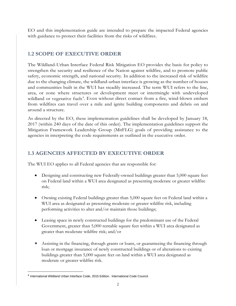EO and this implementation guide are intended to prepare the impacted Federal agencies with guidance to protect their facilities from the risks of wildfires.

## <span id="page-3-0"></span>**1.2 SCOPE OF EXECUTIVE ORDER**

The Wildland-Urban Interface Federal Risk Mitigation EO provides the basis for policy to strengthen the security and resilience of the Nation against wildfire, and to promote public safety, economic strength, and national security. In addition to the increased risk of wildfire due to the changing climate, the wildland-urban interface is growing as the number of houses and communities built in the WUI has steadily increased. The term WUI refers to the line, area, or zone where structures or development meet or intermingle with undeveloped wildland or vegetative fuels<sup>[4](#page-3-2)</sup>. Even without direct contact from a fire, wind-blown embers from wildfires can travel over a mile and ignite building components and debris on and around a structure.

As directed by the EO, these implementation guidelines shall be developed by January 18, 2017 (within 240 days of the date of this order). The implementation guidelines support the Mitigation Framework Leadership Group (MitFLG) goals of providing assistance to the agencies in interpreting the code requirements as outlined in the executive order.

## <span id="page-3-1"></span>**1.3 AGENCIES AFFECTED BY EXECUTIVE ORDER**

The WUI EO applies to all Federal agencies that are responsible for:

- Designing and constructing new Federally-owned buildings greater than 5,000 square feet on Federal land within a WUI area designated as presenting moderate or greater wildfire risk;
- Owning existing Federal buildings greater than 5,000 square feet on Federal land within a WUI area as designated as presenting moderate or greater wildfire risk, including performing activities to alter and/or maintain those buildings;
- Leasing space in newly constructed buildings for the predominant use of the Federal Government, greater than 5,000 rentable square feet within a WUI area designated as greater than moderate wildfire risk; and/or
- Assisting in the financing, through grants or loans, or guaranteeing the financing through loan or mortgage insurance of newly constructed buildings or of alterations to existing buildings greater than 5,000 square feet on land within a WUI area designated as moderate or greater wildfire risk.

l

<span id="page-3-2"></span><sup>4</sup> International Wildland Urban Interface Code, 2015 Edition. International Code Council.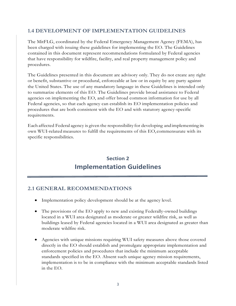## <span id="page-4-0"></span>**1.4 DEVELOPMENT OF IMPLEMENTATION GUIDELINES**

The MitFLG, coordinated by the Federal Emergency Management Agency (FEMA), has been charged with issuing these guidelines for implementing the EO. The Guidelines contained in this document represent recommendations formulated by Federal agencies that have responsibility for wildfire, facility, and real property management policy and procedures.

The Guidelines presented in this document are advisory only. They do not create any right or benefit, substantive or procedural, enforceable at law or in equity by any party against the United States. The use of any mandatory language in these Guidelines is intended only to summarize elements of this EO. The Guidelines provide broad assistance to Federal agencies on implementing the EO, and offer broad common information for use by all Federal agencies, so that each agency can establish its EO implementation policies and procedures that are both consistent with the EO and with statutory agency-specific requirements.

Each affected Federal agency is given the responsibility for developing andimplementing its own WUI-related measures to fulfill the requirements of this EO, commensurate with its specific responsibilities.

## **Section 2 Implementation Guidelines**

## <span id="page-4-2"></span><span id="page-4-1"></span>**2.1 GENERAL RECOMMENDATIONS**

- Implementation policy development should be at the agency level.
- The provisions of the EO apply to new and existing Federally-owned buildings located in a WUI area designated as moderate or greater wildfire risk, as well as buildings leased by Federal agencies located in a WUI area designated as greater than moderate wildfire risk.
- Agencies with unique missions requiring WUI safety measures above those covered directly in the EO should establish and promulgate appropriate implementation and enforcement policies and procedures that include the minimum acceptable standards specified in the EO. Absent such unique agency mission requirements, implementation is to be in compliance with the minimum acceptable standards listed in the EO.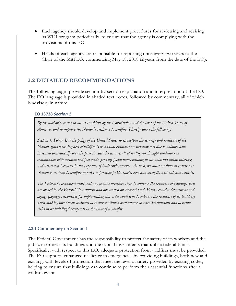- Each agency should develop and implement procedures for reviewing and revising its WUI program periodically, to ensure that the agency is complying with the provisions of this EO.
- Heads of each agency are responsible for reporting once every two years to the Chair of the MitFLG, commencing May 18, 2018 (2 years from the date of the EO).

## <span id="page-5-0"></span>**2.2 DETAILED RECOMMENDATIONS**

The following pages provide section-by-section explanation and interpretation of the EO. The EO language is provided in shaded text boxes, followed by commentary, all of which is advisory in nature.

#### **EO 13728** *Section 1*

*By the authority vested in me as President by the Constitution and the laws of the United States of America, and to improve the Nation's resilience to wildfire, I hereby direct the following:*

*Section 1. Policy. It is the policy of the United States to strengthen the security and resilience of the Nation against the impacts of wildfire. The annual estimates on structure loss due to wildfire have increased dramatically over the past six decades as a result of multi-year drought conditions in combination with accumulated fuel loads, growing populations residing in the wildland-urban interface, and associated increases in the exposure of built environments. As such, we must continue to ensure our Nation is resilient to wildfire in order to promote public safety, economic strength, and national security.*

*The Federal Government must continue to take proactive steps to enhance the resilience of buildings that are owned by the Federal Government and are located on Federal land. Each executive department and agency (agency) responsible for implementing this order shall seek to enhance the resilience of its buildings when making investment decisions to ensure continued performance of essential functions and to reduce risks to its buildings' occupants in the event of a wildfire.*

#### <span id="page-5-1"></span>**2.2.1 Commentary on Section 1**

The Federal Government has the responsibility to protect the safety of its workers and the public in or near its buildings and the capital investments that utilize federal funds. Specifically, with respect to this EO, adequate protection from wildfires must be provided. The EO supports enhanced resilience in emergencies by providing buildings, both new and existing, with levels of protection that meet the level of safety provided by existing codes, helping to ensure that buildings can continue to perform their essential functions after a wildfire event.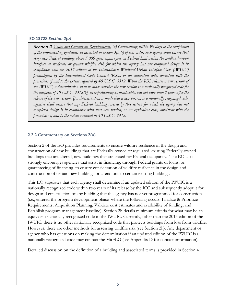#### **EO 13728** *Section 2(a)*

Section 2*. Codes and Concurrent Requirements. (a) Commencing within 90 days of the completion of the implementing guidelines as described in section 3(b)(i) of this order, each agency shall ensure that every new Federal building above 5,000 gross square feet on Federal land within the wildland-urban interface at moderate or greater wildfire risk for which the agency has not completed design is in compliance with the 2015 edition of the International Wildland-Urban Interface Code (IWUIC) promulgated by the International Code Council (ICC), or an equivalent code, consistent with the provisions of and to the extent required by 40 U.S.C. 3312. When the ICC releases a new version of the IWUIC, a determination shall be made whether the new version is a nationally recognized code for the purposes of 40 U.S.C. 3312(b), as expeditiously as practicable, but not later than 2 years after the release of the new version. If a determination is made that a new version is a nationally recognized code, agencies shall ensure that any Federal building covered by this section for which the agency has not completed design is in compliance with that new version, or an equivalent code, consistent with the provisions of and to the extent required by 40 U.S.C. 3312.*

#### <span id="page-6-0"></span>**2.2.2 Commentary on Sections 2(a)**

Section 2 of the EO provides requirements to ensure wildfire resilience in the design and construction of new buildings that are Federally-owned or regulated, existing Federally-owned buildings that are altered, new buildings that are leased for Federal occupancy. The EO also strongly encourages agencies that assist in financing, through Federal grants or loans, or guaranteeing of financing, to ensure consideration of wildfire resilience in the design and construction of certain new buildings or alterations to certain existing buildings.

This EO stipulates that each agency shall determine if an updated edition of the IWUIC is a nationally recognized code within two years of its release by the ICC and subsequently adopt it for design and construction of any building that the agency has not yet programmed for construction (i.e., entered the program development phase where the following occurs: Finalize & Prioritize Requirements, Acquisition Planning, Validate cost estimates and availability of funding, and Establish program management baseline). Section 2h details minimum criteria for what may be an equivalent nationally recognized code to the IWUIC. Currently, other than the 2015 edition of the IWUIC, there is no other nationally recognized code that protects buildings from loss from wildfire. However, there are other methods for assessing wildfire risk (see Section 2h). Any department or agency who has questions on making the determination if an updated edition of the IWUIC is a nationally recognized code may contact the MitFLG (see Appendix D for contact information).

Detailed discussion on the definition of a building and associated terms is provided in Section 4.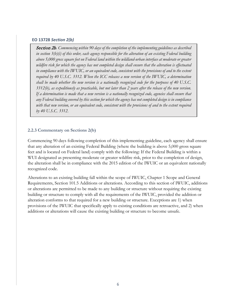#### **EO 13728** *Section 2(b)*

Section 2b*. Commencing within 90 days of the completion of the implementing guidelines as described in section 3(b)(i) of this order, each agency responsible for the alteration of an existing Federal building above 5,000 gross square feet on Federal land within the wildland-urban interface at moderate or greater wildfire risk for which the agency has not completed design shall ensure that the alteration is effectuated in compliance with the IWUIC, or an equivalent code, consistent with the provisions of and to the extent required by 40 U.S.C. 3312. When the ICC releases a new version of the IWUIC, a determination shall be made whether the new version is a nationally recognized code for the purposes of 40 U.S.C. 3312(b), as expeditiously as practicable, but not later than 2 years after the release of the new version. If a determination is made that a new version is a nationally recognized code, agencies shall ensure that any Federal building covered by this section for which the agency has not completed design is in compliance with that new version, or an equivalent code, consistent with the provisions of and to the extent required by 40 U.S.C. 3312.*

#### <span id="page-7-0"></span>**2.2.3 Commentary on Sections 2(b)**

Commencing 90 days following completion of this implementing guideline, each agency shall ensure that any alteration of an existing Federal Building (where the building is above 5,000 gross square feet and is located on Federal land) comply with the following: If the Federal Building is within a WUI designated as presenting moderate or greater wildfire risk, prior to the completion of design, the alteration shall be in compliance with the 2015 edition of the IWUIC or an equivalent nationally recognized code.

Alterations to an existing building fall within the scope of IWUIC, Chapter 1 Scope and General Requirements, Section 101.5 Additions or alterations. According to this section of IWUIC, additions or alterations are permitted to be made to any building or structure without requiring the existing building or structure to comply with all the requirements of the IWUIC, provided the addition or alteration conforms to that required for a new building or structure. Exceptions are 1) when provisions of the IWUIC that specifically apply to existing conditions are retroactive, and 2) when additions or alterations will cause the existing building or structure to become unsafe.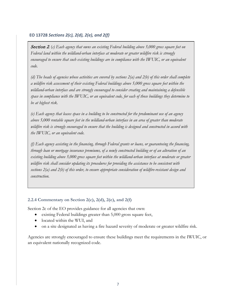#### **EO 13728** *Sections 2(c), 2(d), 2(e), and 2(f)*

Section 2*.* (*c) Each agency that owns an existing Federal building above 5,000 gross square feet on Federal land within the wildland-urban interface at moderate or greater wildfire risk is strongly encouraged to ensure that such existing buildings are in compliance with the IWUIC, or an equivalent code.*

*(d) The heads of agencies whose activities are covered by sections 2(a) and 2(b) of this order shall complete a wildfire risk assessment of their existing Federal buildings above 5,000 gross square feet within the wildland-urban interface and are strongly encouraged to consider creating and maintaining a defensible space in compliance with the IWUIC, or an equivalent code, for each of those buildings they determine to be at highest risk.*

*(e) Each agency that leases space in a building to be constructed for the predominant use of an agency above 5,000 rentable square feet in the wildland-urban interface in an area of greater than moderate wildfire risk is strongly encouraged to ensure that the building is designed and constructed in accord with the IWUIC, or an equivalent code.*

*(f) Each agency assisting in the financing, through Federal grants or loans, or guaranteeing the financing, through loan or mortgage insurance premiums, of a newly constructed building or of an alteration of an existing building above 5,000 gross square feet within the wildland-urban interface at moderate or greater wildfire risk shall consider updating its procedures for providing the assistance to be consistent with sections 2(a) and 2(b) of this order, to ensure appropriate consideration of wildfire-resistant design and construction.*

#### <span id="page-8-0"></span>**2.2.4 Commentary on Section 2(c), 2(d), 2(e), and 2(f)**

Section 2c of the EO provides guidance for all agencies that own:

- existing Federal buildings greater than 5,000 gross square feet,
- located within the WUI, and
- on a site designated as having a fire hazard severity of moderate or greater wildfire risk.

Agencies are strongly encouraged to ensure these buildings meet the requirements in the IWUIC, or an equivalent nationally recognized code.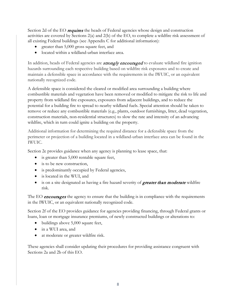Section 2d of the EO requires the heads of Federal agencies whose design and construction activities are covered by Sections 2(a) and 2(b) of the EO, to complete a wildfire risk assessment of all existing Federal buildings (see Appendix C for additional information):

- greater than 5,000 gross square feet, and
- located within a wildland-urban interface area.

In addition, heads of Federal agencies are **strongly encouraged** to evaluate wildland fire ignition hazards surrounding each respective building based on wildfire risk exposures and to create and maintain a defensible space in accordance with the requirements in the IWUIC, or an equivalent nationally recognized code.

A defensible space is considered the cleared or modified area surrounding a building where combustible materials and vegetation have been removed or modified to mitigate the risk to life and property from wildland fire exposures, exposures from adjacent buildings, and to reduce the potential for a building fire to spread to nearby wildland fuels. Special attention should be taken to remove or reduce any combustible materials (e.g., plants, outdoor furnishings, litter, dead vegetation, construction materials, non-residential structures) to slow the rate and intensity of an advancing wildfire, which in turn could ignite a building on the property.

Additional information for determining the required distance for a defensible space from the perimeter or projection of a building located in a wildland-urban interface area can be found in the IWUIC.

Section 2e provides guidance when any agency is planning to lease space, that:

- is greater than 5,000 rentable square feet,
- is to be new construction,
- is predominantly occupied by Federal agencies,
- is located in the WUI, and
- is on a site designated as having a fire hazard severity of *greater than moderate* wildfire risk.

The EO **encourages** the agency to ensure that the building is in compliance with the requirements in the IWUIC, or an equivalent nationally recognized code.

Section 2f of the EO provides guidance for agencies providing financing, through Federal grants or loans, loan or mortgage insurance premiums, of newly constructed buildings or alterations to:

- buildings above 5,000 square feet,
- in a WUI area, and
- at moderate or greater wildfire risk.

These agencies shall consider updating their procedures for providing assistance congruent with Sections 2a and 2b of this EO.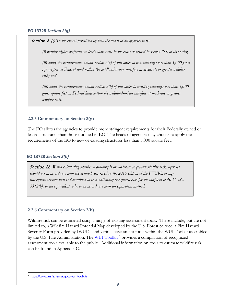#### **EO 13728** *Section 2(g)*

Section 2*. (g) To the extent permitted by law, the heads of all agencies may:*

*(i) require higher performance levels than exist in the codes described in section 2(a) of this order;*

*(ii) apply the requirements within section 2(a) of this order to new buildings less than 5,000 gross square feet on Federal land within the wildland-urban interface at moderate or greater wildfire risk; and*

*(iii) apply the requirements within section 2(b) of this order to existing buildings less than 5,000 gross square feet on Federal land within the wildland-urban interface at moderate or greater wildfire risk.*

#### <span id="page-10-0"></span>**2.2.5 Commentary on Section 2(g)**

The EO allows the agencies to provide more stringent requirements for their Federally owned or leased structures than those outlined in EO. The heads of agencies may choose to apply the requirements of the EO to new or existing structures less than 5,000 square feet.

#### **EO 13728** *Section 2(h)*

Section 2h*. When calculating whether a building is at moderate or greater wildfire risk, agencies should act in accordance with the methods described in the 2015 edition of the IWUIC, or any subsequent version that is determined to be a nationally recognized code for the purposes of 40 U.S.C. 3312(b), or an equivalent code, or in accordance with an equivalent method.*

#### <span id="page-10-1"></span>**2.2.6 Commentary on Section 2(h)**

Wildfire risk can be estimated using a range of existing assessment tools. These include, but are not limited to, a Wildfire Hazard Potential Map developed by the U.S. Forest Service, a Fire Hazard Severity Form provided by IWUIC, and various assessment tools within the WUI Toolkit assembled by the U.S. Fire Administration. The [WUI Toolkit](https://www.usfa.fema.gov/wui_toolkit/)<sup>[5](#page-10-2)</sup> provides a compilation of recognized assessment tools available to the public. Additional information on tools to estimate wildfire risk can be found in Appendix C.

<span id="page-10-2"></span>l <sup>5</sup> [https://www.usfa.fema.gov/wui\\_toolkit/](https://www.usfa.fema.gov/wui_toolkit/)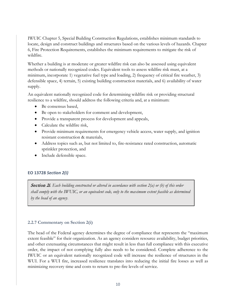IWUIC Chapter 5, Special Building Construction Regulations, establishes minimum standards to locate, design and construct buildings and structures based on the various levels of hazards. Chapter 6, Fire Protection Requirements, establishes the minimum requirements to mitigate the risk of wildfire.

Whether a building is at moderate or greater wildfire risk can also be assessed using equivalent methods or nationally recognized codes. Equivalent tools to assess wildfire risk must, at a minimum, incorporate 1) vegetative fuel type and loading, 2) frequency of critical fire weather, 3) defensible space, 4) terrain, 5) existing building construction materials, and 6) availability of water supply.

An equivalent nationally recognized code for determining wildfire risk or providing structural resilience to a wildfire, should address the following criteria and, at a minimum:

- Be consensus based,
- Be open to stakeholders for comment and development,
- Provide a transparent process for development and appeals,
- Calculate the wildfire risk,
- Provide minimum requirements for emergency vehicle access, water supply, and ignition resistant construction & materials,
- Address topics such as, but not limited to, fire-resistance rated construction, automatic sprinkler protection, and
- Include defensible space.

#### **EO 13728** *Section 2(i)*

Section 2i*. Each building constructed or altered in accordance with section 2(a) or (b) of this order shall comply with the IWUIC, or an equivalent code, only to the maximum extent feasible as determined by the head of an agency*.

#### <span id="page-11-0"></span>**2.2.7 Commentary on Section 2(i)**

The head of the Federal agency determines the degree of compliance that represents the "maximum extent feasible" for their organization. As an agency considers resource availability, budget priorities, and other extenuating circumstances that might result in less than full compliance with this executive order, the impact of not complying fully also needs to be considered. Complete adherence to the IWUIC or an equivalent nationally recognized code will increase the resilience of structures in the WUI. For a WUI fire, increased resilience translates into reducing the initial fire losses as well as minimizing recovery time and costs to return to pre-fire levels of service.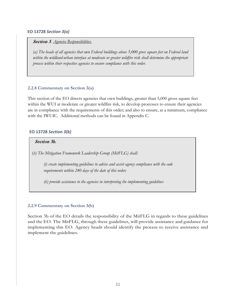#### **EO 13728** *Section 3(a)*

#### Section 3*. Agencies Responsibilities.*

*(a) The heads of all agencies that own Federal buildings above 5,000 gross square feet on Federal land within the wildland-urban interface at moderate or greater wildfire risk shall determine the appropriate process within their respective agencies to ensure compliance with this order.*

#### <span id="page-12-0"></span>**2.2.8 Commentary on Section 3(a)**

This section of the EO directs agencies that own buildings, greater than 5,000 gross square feet within the WUI at moderate or greater wildfire risk, to develop processes to ensure their agencies are in compliance with the requirements of this order; and also to ensure, at a minimum, compliance with the IWUIC. Additional methods can be found in Appendix C.

#### **EO 13728** *Section 3(b)*

#### Section 3b.

(*b) The Mitigation Framework Leadership Group (MitFLG) shall:*

*(i) create implementing guidelines to advise and assist agency compliance with the code requirements within 240 days of the date of this order;*

*(ii) provide assistance to the agencies in interpreting the implementing guidelines*

#### <span id="page-12-1"></span>**2.2.9 Commentary on Section 3(b)**

Section 3b of the EO details the responsibility of the MitFLG in regards to these guidelines and the EO. The MitFLG, through these guidelines, will provide assistance and guidance for implementing this EO. Agency heads should identify the process to receive assistance and implement the guidelines.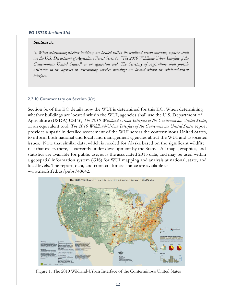#### **EO 13728** *Section 3(c)*

#### Section 3c*.*

*(c) When determining whether buildings are located within the wildland-urban interface, agencies shall use the U.S. Department of Agriculture Forest Service's, "The 2010 Wildland-Urban Interface of the Conterminous United States," or an equivalent tool. The Secretary of Agriculture shall provide assistance to the agencies in determining whether buildings are located within the wildland-urban interface.*

#### <span id="page-13-0"></span>**2.2.10 Commentary on Section 3(c)**

Section 3c of the EO details how the WUI is determined for this EO. When determining whether buildings are located within the WUI, agencies shall use the U.S. Department of Agriculture (USDA) USFS', *The 2010 Wildland-Urban Interface of the Conterminous United States*, or an equivalent tool. *The 2010 Wildland-Urban Interface of the Conterminous United States* report provides a spatially-detailed assessment of the WUI across the conterminous United States, to inform both national and local land management agencies about the WUI and associated issues. Note that similar data, which is needed for Alaska based on the significant wildfire risk that exists there, is currently under development by the State. All maps, graphics, and statistics are available for public use, as is the associated 2015 data, and may be used within a geospatial information system (GIS) for WUI mapping and analysis at national, state, and local levels. The report, data, and contacts for assistance are available at [www.nrs.fs.fed.us/pubs/48642.](http://www.nrs.fs.fed.us/pubs/48642.)



Figure 1. The 2010 Wildland-Urban Interface of the Conterminous United States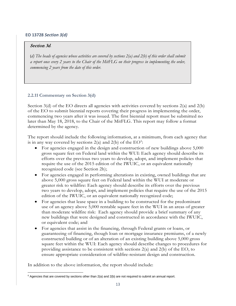#### **EO 13728** *Section 3(d)*

#### Section 3d*.*

(*d) The heads of agencies whose activities are covered by sections 2(a) and 2(b) of this order shall submit a report once every 2 years to the Chair of the MitFLG on their progress in implementing the order, commencing 2 years from the date of this order.*

#### <span id="page-14-0"></span>**2.2.11 Commentary on Section 3(d)**

Section 3(d) of the EO directs all agencies with activities covered by sections 2(a) and 2(b) of the EO to submit biennial reports covering their progress in implementing the order, commencing two years after it was issued. The first biennial report must be submitted no later than May 18, 2018, to the Chair of the MitFLG. This report may follow a format determined by the agency.

The report should include the following information, at a minimum, from each agency that is in any way covered by sections  $2(a)$  and  $2(b)$  of the  $EO^6$  $EO^6$ :

- For agencies engaged in the design and construction of new buildings above 5,000 gross square feet on Federal land within the WUI: Each agency should describe its efforts over the previous two years to develop, adopt, and implement policies that require the use of the 2015 edition of the IWUIC, or an equivalent nationally recognized code (see Section 2h);
- For agencies engaged in performing alterations in existing, owned buildings that are above 5,000 gross square feet on Federal land within the WUI at moderate or greater risk to wildfire: Each agency should describe its efforts over the previous two years to develop, adopt, and implement policies that require the use of the 2015 edition of the IWUIC, or an equivalent nationally recognized code;
- For agencies that lease space in a building to be constructed for the predominant use of an agency above 5,000 rentable square feet in the WUI in an areas of greater than moderate wildfire risk: Each agency should provide a brief summary of any new buildings that were designed and constructed in accordance with the IWUIC, or equivalent code; and
- For agencies that assist in the financing, through Federal grants or loans, or guaranteeing of financing, though loan or mortgage insurance premiums, of a newly constructed building or of an alteration of an existing building above 5,000 gross square feet within the WUI: Each agency should describe changes to procedures for providing assistance to be consistent with sections 2(a) and 2(b) of the EO, to ensure appropriate consideration of wildfire-resistant design and construction.

In addition to the above information, the report should include:

<span id="page-14-1"></span>l  $^6$  Agencies that are covered by sections other than 2(a) and 2(b) are not required to submit an annual report.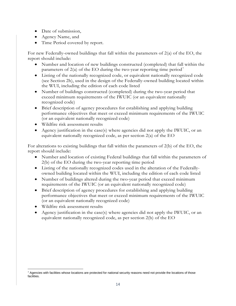- Date of submission,
- Agency Name, and
- Time Period covered by report.

For new Federally-owned buildings that fall within the parameters of 2(a) of the EO, the report should include:

- Number and location of new buildings constructed (completed) that fall within the parameters of  $2(a)$  of the EO during the two-year reporting time period<sup>[7](#page-15-0)</sup>
- Listing of the nationally recognized code, or equivalent nationally recognized code (see Section 2h), used in the design of the Federally-owned building located within the WUI, including the edition of each code listed
- Number of buildings constructed (completed) during the two-year period that exceed minimum requirements of the IWUIC (or an equivalent nationally recognized code)
- Brief description of agency procedures for establishing and applying building performance objectives that meet or exceed minimum requirements of the IWUIC (or an equivalent nationally recognized code)
- Wildfire risk assessment results
- Agency justification in the case(s) where agencies did not apply the IWUIC, or an equivalent nationally recognized code, as per section 2(a) of the EO

For alterations to existing buildings that fall within the parameters of 2(b) of the EO, the report should include:

- Number and location of existing Federal buildings that fall within the parameters of 2(b) of the EO during the two-year reporting time period
- Listing of the nationally recognized codes used in the alteration of the Federallyowned building located within the WUI, including the edition of each code listed
- Number of buildings altered during the two-year period that exceed minimum requirements of the IWUIC (or an equivalent nationally recognized code)
- Brief description of agency procedures for establishing and applying building performance objectives that meet or exceed minimum requirements of the IWUIC (or an equivalent nationally recognized code)
- Wildfire risk assessment results
- Agency justification in the case(s) where agencies did not apply the IWUIC, or an equivalent nationally recognized code, as per section 2(b) of the EO

<span id="page-15-0"></span> $\overline{\phantom{a}}$  $7$  Agencies with facilities whose locations are protected for national security reasons need not provide the locations of those facilities.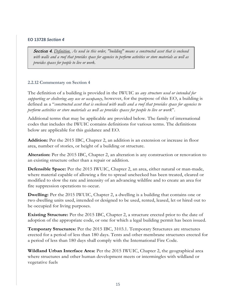#### **EO 13728** *Section 4*

Section 4. *Definition. As used in this order, "building" means a constructed asset that is enclosed with walls and a roof that provides space for agencies to perform activities or store materials as well as provides spaces for people to live or work.*

#### <span id="page-16-0"></span>**2.2.12 Commentary on Section 4**

The definition of a building is provided in the IWUIC as *any structure used or intended for supporting or sheltering any use or occupancy*, however, for the purpose of this EO, a building is defined as a "*constructed asset that is enclosed with walls and a roof that provides space for agencies to perform activities or store materials as well as provides spaces for people to live or work*".

Additional terms that may be applicable are provided below. The family of international codes that includes the IWUIC contains definitions for various terms. The definitions below are applicable for this guidance and EO.

**Addition:** Per the 2015 IBC, Chapter 2, an addition is an extension or increase in floor area, number of stories, or height of a building or structure.

**Alteration:** Per the 2015 IBC, Chapter 2, an alteration is any construction or renovation to an existing structure other than a repair or addition.

**Defensible Space:** Per the 2015 IWUIC, Chapter 2, an area, either natural or man-made, where material capable of allowing a fire to spread unchecked has been treated, cleared or modified to slow the rate and intensity of an advancing wildfire and to create an area for fire suppression operations to occur.

**Dwelling:** Per the 2015 IWUIC, Chapter 2, a dwelling is a building that contains one or two dwelling units used, intended or designed to be used, rented, leased, let or hired out to be occupied for living purposes.

**Existing Structure:** Per the 2015 IBC, Chapter 2, a structure erected prior to the date of adoption of the appropriate code, or one for which a legal building permit has been issued.

**Temporary Structures:** Per the 2015 IBC, 3103.1. Temporary Structures are structures erected for a period of less than 180 days. Tents and other membrane structures erected for a period of less than 180 days shall comply with the International Fire Code.

**Wildland Urban Interface Area:** Per the 2015 IWUIC, Chapter 2, the geographical area where structures and other human development meets or intermingles with wildland or vegetative fuels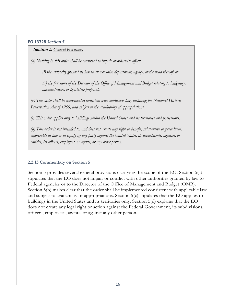#### **EO 13728** *Section 5*

#### Section 5*. General Provisions.*

*(a) Nothing in this order shall be construed to impair or otherwise affect:*

*(i) the authority granted by law to an executive department, agency, or the head thereof; or*

*(ii) the functions of the Director of the Office of Management and Budget relating to budgetary, administrative, or legislative proposals.*

*(b) This order shall be implemented consistent with applicable law, including the National Historic Preservation Act of 1966, and subject to the availability of appropriations.*

*(c) This order applies only to buildings within the United States and its territories and possessions.*

*(d) This order is not intended to, and does not, create any right or benefit, substantive or procedural, enforceable at law or in equity by any party against the United States, its departments, agencies, or entities, its officers, employees, or agents, or any other person.*

#### <span id="page-17-0"></span>**2.2.13 Commentary on Section 5**

Section 5 provides several general provisions clarifying the scope of the EO. Section 5(a) stipulates that the EO does not impair or conflict with other authorities granted by law to Federal agencies or to the Director of the Office of Management and Budget (OMB). Section 5(b) makes clear that the order shall be implemented consistent with applicable law and subject to availability of appropriations. Section 5(c) stipulates that the EO applies to buildings in the United States and its territories only. Section 5(d) explains that the EO does not create any legal right or action against the Federal Government, its subdivisions, officers, employees, agents, or against any other person.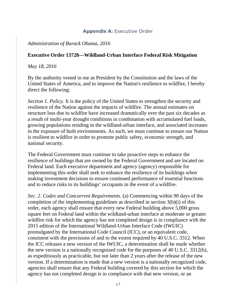## **Appendix A: Executive Order**

## <span id="page-18-0"></span>*Administration of Barack Obama, 2016*

## **Executive Order 13728—Wildland-Urban Interface Federal Risk Mitigation**

#### *May 18, 2016*

By the authority vested in me as President by the Constitution and the laws of the United States of America, and to improve the Nation's resilience to wildfire, I hereby direct the following:

*Section 1*. *Policy*. It is the policy of the United States to strengthen the security and resilience of the Nation against the impacts of wildfire. The annual estimates on structure loss due to wildfire have increased dramatically over the past six decades as a result of multi-year drought conditions in combination with accumulated fuel loads, growing populations residing in the wildland-urban interface, and associated increases in the exposure of built environments. As such, we must continue to ensure our Nation is resilient to wildfire in order to promote public safety, economic strength, and national security.

The Federal Government must continue to take proactive steps to enhance the resilience of buildings that are owned by the Federal Government and are located on Federal land. Each executive department and agency (agency) responsible for implementing this order shall seek to enhance the resilience of its buildings when making investment decisions to ensure continued performance of essential functions and to reduce risks to its buildings' occupants in the event of a wildfire.

*Sec. 2*. *Codes and Concurrent Requirements*. (a) Commencing within 90 days of the completion of the implementing guidelines as described in section 3(b)(i) of this order, each agency shall ensure that every new Federal building above 5,000 gross square feet on Federal land within the wildland-urban interface at moderate or greater wildfire risk for which the agency has not completed design is in compliance with the 2015 edition of the International Wildland-Urban Interface Code (IWUIC) promulgated by the International Code Council (ICC), or an equivalent code, consistent with the provisions of and to the extent required by 40 U.S.C. 3312. When the ICC releases a new version of the IWUIC, a determination shall be made whether the new version is a nationally recognized code for the purposes of 40 U.S.C. 3312(b), as expeditiously as practicable, but not later than 2 years after the release of the new version. If a determination is made that a new version is a nationally recognized code, agencies shall ensure that any Federal building covered by this section for which the agency has not completed design is in compliance with that new version, or an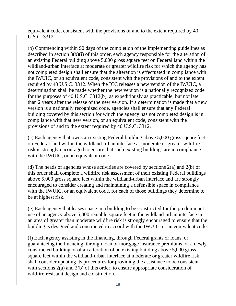equivalent code, consistent with the provisions of and to the extent required by 40 U.S.C. 3312.

(b) Commencing within 90 days of the completion of the implementing guidelines as described in section 3(b)(i) of this order, each agency responsible for the alteration of an existing Federal building above 5,000 gross square feet on Federal land within the wildland-urban interface at moderate or greater wildfire risk for which the agency has not completed design shall ensure that the alteration is effectuated in compliance with the IWUIC, or an equivalent code, consistent with the provisions of and to the extent required by 40 U.S.C. 3312. When the ICC releases a new version of the IWUIC, a determination shall be made whether the new version is a nationally recognized code for the purposes of 40 U.S.C. 3312(b), as expeditiously as practicable, but not later than 2 years after the release of the new version. If a determination is made that a new version is a nationally recognized code, agencies shall ensure that any Federal building covered by this section for which the agency has not completed design is in compliance with that new version, or an equivalent code, consistent with the provisions of and to the extent required by 40 U.S.C. 3312.

(c) Each agency that owns an existing Federal building above 5,000 gross square feet on Federal land within the wildland-urban interface at moderate or greater wildfire risk is strongly encouraged to ensure that such existing buildings are in compliance with the IWUIC, or an equivalent code.

(d) The heads of agencies whose activities are covered by sections 2(a) and 2(b) of this order shall complete a wildfire risk assessment of their existing Federal buildings above 5,000 gross square feet within the wildland-urban interface and are strongly encouraged to consider creating and maintaining a defensible space in compliance with the IWUIC, or an equivalent code, for each of those buildings they determine to be at highest risk.

(e) Each agency that leases space in a building to be constructed for the predominant use of an agency above 5,000 rentable square feet in the wildland-urban interface in an area of greater than moderate wildfire risk is strongly encouraged to ensure that the building is designed and constructed in accord with the IWUIC, or an equivalent code.

(f) Each agency assisting in the financing, through Federal grants or loans, or guaranteeing the financing, through loan or mortgage insurance premiums, of a newly constructed building or of an alteration of an existing building above 5,000 gross square feet within the wildland-urban interface at moderate or greater wildfire risk shall consider updating its procedures for providing the assistance to be consistent with sections 2(a) and 2(b) of this order, to ensure appropriate consideration of wildfire-resistant design and construction.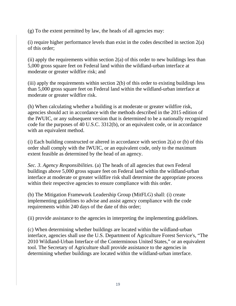(g) To the extent permitted by law, the heads of all agencies may:

(i) require higher performance levels than exist in the codes described in section 2(a) of this order;

(ii) apply the requirements within section  $2(a)$  of this order to new buildings less than 5,000 gross square feet on Federal land within the wildland-urban interface at moderate or greater wildfire risk; and

(iii) apply the requirements within section 2(b) of this order to existing buildings less than 5,000 gross square feet on Federal land within the wildland-urban interface at moderate or greater wildfire risk.

(h) When calculating whether a building is at moderate or greater wildfire risk, agencies should act in accordance with the methods described in the 2015 edition of the IWUIC, or any subsequent version that is determined to be a nationally recognized code for the purposes of 40 U.S.C. 3312(b), or an equivalent code, or in accordance with an equivalent method.

(i) Each building constructed or altered in accordance with section  $2(a)$  or (b) of this order shall comply with the IWUIC, or an equivalent code, only to the maximum extent feasible as determined by the head of an agency.

*Sec. 3*. *Agency Responsibilities*. (a) The heads of all agencies that own Federal buildings above 5,000 gross square feet on Federal land within the wildland-urban interface at moderate or greater wildfire risk shall determine the appropriate process within their respective agencies to ensure compliance with this order.

(b) The Mitigation Framework Leadership Group (MitFLG) shall: (i) create implementing guidelines to advise and assist agency compliance with the code requirements within 240 days of the date of this order;

(ii) provide assistance to the agencies in interpreting the implementing guidelines.

(c) When determining whether buildings are located within the wildland-urban interface, agencies shall use the U.S. Department of Agriculture Forest Service's, "The 2010 Wildland-Urban Interface of the Conterminous United States," or an equivalent tool. The Secretary of Agriculture shall provide assistance to the agencies in determining whether buildings are located within the wildland-urban interface.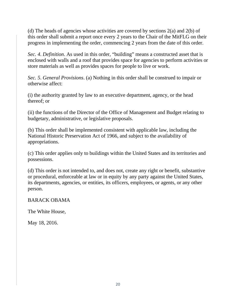(d) The heads of agencies whose activities are covered by sections 2(a) and 2(b) of this order shall submit a report once every 2 years to the Chair of the MitFLG on their progress in implementing the order, commencing 2 years from the date of this order.

*Sec. 4*. *Definition*. As used in this order, "building" means a constructed asset that is enclosed with walls and a roof that provides space for agencies to perform activities or store materials as well as provides spaces for people to live or work.

*Sec. 5*. *General Provisions*. (a) Nothing in this order shall be construed to impair or otherwise affect:

(i) the authority granted by law to an executive department, agency, or the head thereof; or

(ii) the functions of the Director of the Office of Management and Budget relating to budgetary, administrative, or legislative proposals.

(b) This order shall be implemented consistent with applicable law, including the National Historic Preservation Act of 1966, and subject to the availability of appropriations.

(c) This order applies only to buildings within the United States and its territories and possessions.

(d) This order is not intended to, and does not, create any right or benefit, substantive or procedural, enforceable at law or in equity by any party against the United States, its departments, agencies, or entities, its officers, employees, or agents, or any other person.

## BARACK OBAMA

The White House,

May 18, 2016.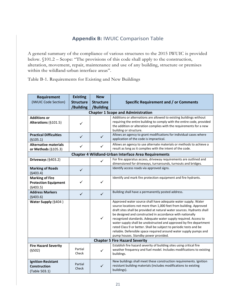## **Appendix B:** IWUIC Comparison Table

<span id="page-22-0"></span>A general summary of the compliance of various structures to the 2015 IWUIC is provided below. §101.2 – Scope: "The provisions of this code shall apply to the construction, alteration, movement, repair, maintenance and use of any building, structure or premises within the wildland-urban interface areas".

Table B-1. Requirements for Existing and New Buildings

| Requirement                                                       | <b>Existing</b>                       | <b>New</b>                    | Specific Requirement and / or Comments                                                                                                                                                                                                                                                                                                                                                                                                                                                                                                                                                                |  |  |  |  |  |
|-------------------------------------------------------------------|---------------------------------------|-------------------------------|-------------------------------------------------------------------------------------------------------------------------------------------------------------------------------------------------------------------------------------------------------------------------------------------------------------------------------------------------------------------------------------------------------------------------------------------------------------------------------------------------------------------------------------------------------------------------------------------------------|--|--|--|--|--|
| (IWUIC Code Section)                                              | <b>Structure</b><br>/Building         | <b>Structure</b><br>/Building |                                                                                                                                                                                                                                                                                                                                                                                                                                                                                                                                                                                                       |  |  |  |  |  |
| <b>Chapter 1 Scope and Administration</b>                         |                                       |                               |                                                                                                                                                                                                                                                                                                                                                                                                                                                                                                                                                                                                       |  |  |  |  |  |
| <b>Additions or</b><br>Alterations (§101.5)                       | ✓                                     |                               | Additions or alternations are allowed to existing buildings without<br>requiring the entire building to comply with the entire code, provided<br>the addition or alteration complies with the requirements for a new<br>building or structure.                                                                                                                                                                                                                                                                                                                                                        |  |  |  |  |  |
| <b>Practical Difficulties</b><br>(§105.1)                         | $\checkmark$                          | ✓                             | Allows an agency to grant modifications for individual cases where<br>application of the code is impractical.                                                                                                                                                                                                                                                                                                                                                                                                                                                                                         |  |  |  |  |  |
| <b>Alternative materials</b><br>or Methods (§105.3)               | $\checkmark$                          | ✓                             | Allows an agency to use alternate materials or methods to achieve a<br>result as long as it complies with the intent of the code.                                                                                                                                                                                                                                                                                                                                                                                                                                                                     |  |  |  |  |  |
| Chapter 4 Wildland-Urban Interface Area Requirements              |                                       |                               |                                                                                                                                                                                                                                                                                                                                                                                                                                                                                                                                                                                                       |  |  |  |  |  |
| Driveways (§403.2)                                                |                                       | $\checkmark$                  | For fire apparatus access, driveway requirements are outlined and<br>dimensioned for driveways, turnarounds, turnouts and bridges.                                                                                                                                                                                                                                                                                                                                                                                                                                                                    |  |  |  |  |  |
| <b>Marking of Roads</b><br>(§403.4)                               | $\checkmark$                          |                               | Identify access roads via approved signs.                                                                                                                                                                                                                                                                                                                                                                                                                                                                                                                                                             |  |  |  |  |  |
| <b>Marking of Fire</b><br><b>Protection Equipment</b><br>(§403.5) | ✓                                     | ✓                             | Identify and mark fire protection equipment and fire hydrants.                                                                                                                                                                                                                                                                                                                                                                                                                                                                                                                                        |  |  |  |  |  |
| <b>Address Markers</b><br>(§403.6)                                | $\checkmark$                          | $\checkmark$                  | Building shall have a permanently posted address.                                                                                                                                                                                                                                                                                                                                                                                                                                                                                                                                                     |  |  |  |  |  |
| Water Supply (§404)                                               |                                       | $\checkmark$                  | Approved water source shall have adequate water supply. Water<br>source locations not more than 1,000 feet from building. Approved<br>draft sites shall be provided at natural water sources. Hydrants shall<br>be designed and constructed in accordance with nationally<br>recognized standards. Adequate water supply required. Access to<br>water supply shall be unobstructed and approved by fire department<br>rated Class 9 or better. Shall be subject to periodic tests and be<br>reliable. Defensible space required around water supply pumps and<br>pump houses. Standby power provided. |  |  |  |  |  |
|                                                                   | <b>Chapter 5 Fire Hazard Severity</b> |                               |                                                                                                                                                                                                                                                                                                                                                                                                                                                                                                                                                                                                       |  |  |  |  |  |
| <b>Fire Hazard Severity</b><br>(§502)                             | Partial<br>Check                      | ✓                             | Establish fire hazard severity of building sites using critical fire<br>weather frequency and fuel model. Includes modifications to existing<br>buildings.                                                                                                                                                                                                                                                                                                                                                                                                                                            |  |  |  |  |  |
| Ignition-Resistant<br><b>Construction</b><br>(Table 503.1)        | Partial<br>Check                      | $\checkmark$                  | New buildings shall meet these construction requirements. Ignition<br>resistant building materials (includes modifications to existing<br>buildings).                                                                                                                                                                                                                                                                                                                                                                                                                                                 |  |  |  |  |  |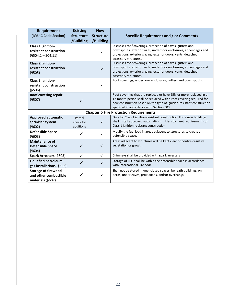| Requirement<br>(IWUIC Code Section)                                     | <b>Existing</b><br><b>Structure</b><br>/Building | <b>New</b><br><b>Structure</b><br>/Building | Specific Requirement and / or Comments                                                                                                                                                                                                                          |  |  |  |  |  |
|-------------------------------------------------------------------------|--------------------------------------------------|---------------------------------------------|-----------------------------------------------------------------------------------------------------------------------------------------------------------------------------------------------------------------------------------------------------------------|--|--|--|--|--|
| Class 1 Ignition-<br>resistant construction<br>$(§504.2 - 504.11)$      |                                                  | ✓                                           | Discusses roof coverings, protection of eaves, gutters and<br>downspouts, exterior walls, underfloor enclosures, appendages and<br>projections, exterior glazing, exterior doors, vents, detached<br>accessory structures.                                      |  |  |  |  |  |
| <b>Class 2 Ignition-</b><br>resistant construction<br>(§505)            |                                                  | $\checkmark$                                | Discusses roof coverings, protection of eaves, gutters and<br>downspouts, exterior walls, underfloor enclosures, appendages and<br>projections, exterior glazing, exterior doors, vents, detached<br>accessory structures.                                      |  |  |  |  |  |
| Class 3 Ignition-<br>resistant construction<br>(§506)                   |                                                  | ✓                                           | Roof coverings, underfloor enclosures, gutters and downspouts.                                                                                                                                                                                                  |  |  |  |  |  |
| Roof covering repair<br>(§507)                                          | $\checkmark$                                     |                                             | Roof coverings that are replaced or have 25% or more replaced in a<br>12-month period shall be replaced with a roof covering required for<br>new construction based on the type of ignition-resistant construction<br>specified in accordance with Section 503. |  |  |  |  |  |
| <b>Chapter 6 Fire Protection Requirements</b>                           |                                                  |                                             |                                                                                                                                                                                                                                                                 |  |  |  |  |  |
| <b>Approved automatic</b><br>sprinkler system<br>(§602)                 | Partial<br>check for<br>additions                | ✓                                           | Only for Class 1 ignition-resistant construction. For a new buildings<br>shall install approved automatic sprinklers to meet requirements of<br>Class 1 Ignition-resistant construction.                                                                        |  |  |  |  |  |
| <b>Defensible Space</b><br>(§603)                                       |                                                  | ✓                                           | Modify the fuel load in areas adjacent to structures to create a<br>defensible space.                                                                                                                                                                           |  |  |  |  |  |
| <b>Maintenance of</b><br><b>Defensible Space</b><br>(§604)              | ✓                                                | $\checkmark$                                | Areas adjacent to structures will be kept clear of nonfire-resistive<br>vegetation or growth.                                                                                                                                                                   |  |  |  |  |  |
| Spark Arresters (§605)                                                  | ✓                                                | $\checkmark$                                | Chimneys shall be provided with spark arresters                                                                                                                                                                                                                 |  |  |  |  |  |
| <b>Liquefied petroleum</b><br>gas installations (§606)                  | ✓                                                | $\checkmark$                                | Storage of LPG shall be within the defensible space in accordance<br>with International Fire code.                                                                                                                                                              |  |  |  |  |  |
| <b>Storage of firewood</b><br>and other combustible<br>materials (§607) |                                                  | ✓                                           | Shall not be stored in unenclosed spaces, beneath buildings, on<br>decks, under eaves, projections, and/or overhangs.                                                                                                                                           |  |  |  |  |  |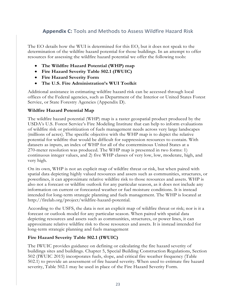## <span id="page-24-0"></span>**Appendix C:** Tools and Methods to Assess Wildfire Hazard Risk

The EO details how the WUI is determined for this EO, but it does not speak to the determination of the wildfire hazard potential for those buildings. In an attempt to offer resources for assessing the wildfire hazard potential we offer the following tools:

- **The Wildfire Hazard Potential (WHP) map**
- **Fire Hazard Severity Table 502.1 (IWUIC)**
- **Fire Hazard Severity Form**
- **The U.S. Fire Administration's WUI Toolkit**

Additional assistance in estimating wildfire hazard risk can be accessed through local offices of the Federal agencies, such as Department of the Interior or United States Forest Service, or State Forestry Agencies (Appendix D).

#### **Wildfire Hazard Potential Map**

The wildfire hazard potential (WHP) map is a raster geospatial product produced by the USDA's U.S. Forest Service's Fire Modeling Institute that can help to inform evaluations of wildfire risk or prioritization of fuels management needs across very large landscapes (millions of acres). The specific objective with the WHP map is to depict the relative potential for wildfire that would be difficult for suppression resources to contain. With datasets as inputs, an index of WHP for all of the conterminous United States at a 270-meter resolution was produced. The WHP map is presented in two forms: 1) continuous integer values, and 2) five WHP classes of very low, low, moderate, high, and very high.

On its own, WHP is not an explicit map of wildfire threat or risk, but when paired with spatial data depicting highly valued resources and assets such as communities, structures, or powerlines, it can approximate relative wildfire risk to those resources and assets. WHP is also not a forecast or wildfire outlook for any particular season, as it does not include any information on current or forecasted weather or fuel moisture conditions. It is instead intended for long-term strategic planning and fuels management. The WHP is located at [http://firelab.org/project/wildfire-hazard-potential.](http://firelab.org/project/wildfire-hazard-potential)

According to the USFS, the data is not an explicit map of wildfire threat or risk; nor is it a forecast or outlook model for any particular season. When paired with spatial data depicting resources and assets such as communities, structures, or power lines, it can approximate relative wildfire risk to those resources and assets. It is instead intended for long-term strategic planning and fuels management

#### **Fire Hazard Severity Table 502.1 (IWUIC)**

The IWUIC provides guidance on defining or calculating the fire hazard severity of buildings sites and buildings. Chapter 5, Special Building Construction Regulations, Section 502 (IWUIC 2015) incorporates fuels, slope, and critical fire weather frequency (Table 502.1) to provide an assessment of fire hazard severity. When used to estimate fire hazard severity, Table 502.1 may be used in place of the Fire Hazard Severity Form.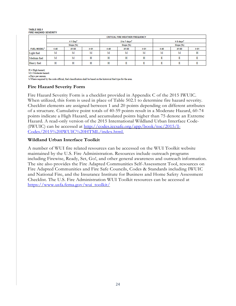#### **TARLE 502.4 FIRE HAZARD SEVERITY**

|                                | <b>CRITICAL FIRE WEATHER FREQUENCY</b> |       |           |              |       |           |           |       |           |  |
|--------------------------------|----------------------------------------|-------|-----------|--------------|-------|-----------|-----------|-------|-----------|--|
|                                | $\leq 1$ Day"                          |       |           | 2 to 7 days" |       |           | ≥8 days"  |       |           |  |
|                                | Slope (%)                              |       |           | Slope (%)    |       |           | Slope (%) |       |           |  |
| <b>FUEL MODEL</b> <sup>b</sup> | $\leq 40$                              | 41-60 | $\geq 61$ | $\leq 40$    | 41-60 | $\geq 61$ | $\leq 40$ | 41-60 | $\geq 61$ |  |
| Light fuel                     | М                                      | М     | Μ         | Μ            | Μ     | Μ         | Μ         | М     | н         |  |
| Medium fuel                    | M                                      | м     | н         | н            | н     | н         |           |       |           |  |
| Heavy fuel                     | н                                      | н     | н         | н            |       |           |           |       |           |  |

 $H = High hazard;$ 

 $M =$ Moderate hazard

a.Days per annum.

b. Where required by the code official, fuel classification shall be based on the historical fuel type for the area.

#### **Fire Hazard Severity Form**

Fire Hazard Severity Form is a checklist provided in Appendix C of the 2015 IWUIC. When utilized, this form is used in place of Table 502.1 to determine fire hazard severity. Checklist elements are assigned between 1 and 20 points depending on different attributes of a structure. Cumulative point totals of 40-59 points result in a Moderate Hazard, 60-74 points indicate a High Hazard, and accumulated points higher than 75 denote an Extreme Hazard. A read-only version of the 2015 International Wildland Urban Interface Code- (IWUIC) can be accessed at [http://codes.iccsafe.org/app/book/toc/2015/I-](http://codes.iccsafe.org/app/book/toc/2015/I-Codes/2015%20IWUIC%20HTML/index.html)[Codes/2015%20IWUIC%20HTML/index.html.](http://codes.iccsafe.org/app/book/toc/2015/I-Codes/2015%20IWUIC%20HTML/index.html) 

#### **Wildland Urban Interface Toolkit**

A number of WUI fire related resources can be accessed on the WUI Toolkit website maintained by the U.S. Fire Administration. Resources include outreach programs including Firewise, Ready, Set, Go!, and other general awareness and outreach information. The site also provides the Fire Adapted Communities Self-Assessment Tool, resources on Fire Adapted Communities and Fire Safe Councils, Codes & Standards including IWUIC and National Fire, and the Insurance Institute for Business and Home Safety Assessment Checklist. The U.S. Fire Administration WUI Toolkit resources can be accessed at [https://www.usfa.fema.gov/wui\\_toolkit/](https://www.usfa.fema.gov/wui_toolkit/)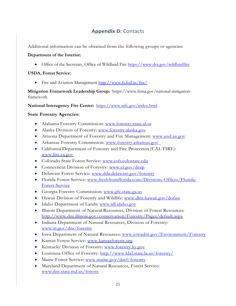## **Appendix D:** Contacts

<span id="page-26-0"></span>Additional information can be obtained from the following groups or agencies:

#### **Department of the Interior:**

• Office of the Secretary, Office of Wildland Fire<https://www.doi.gov/wildlandfire>

### **USDA, Forest Service:**

• Fire and Aviation Management<http://www.fs.fed.us/fire/>

**Mitigation Framework Leadership Group:** https://www.fema.gov/national-mitigationframework

**National Interagency Fire Center:** <https://www.nifc.gov/index.html>

### **State Forestry Agencies:**

- Alabama Forestry Commission: [www.forestry.state.al.us](http://www.forestry.state.al.us/)
- Alaska Division of Forestry: [www.forestry.alaska.gov](http://www.forestry.alaska.gov/)
- Arizona Department of Forestry and Fire Management: [www.azsf.az.gov](http://www.azsf.az.gov/)
- Arkansas Forestry Commission: [www.forestry.arkansas.gov](http://www.forestry.arkansas.gov/)
- California Department of Forestry and Fire Protection (CAL FIRE): [www.fire.ca.gov](http://www.fire.ca.gov/)
- Colorado State Forest Service: [www.csfs.colostate.edu](http://www.csfs.colostate.edu/)
- Connecticut Division of Forestry: [www.ct.gov/deep](http://www.ct.gov/deep)
- Delaware Forest Service: [www.dda.delaware.gov/forestry](http://www.dda.delaware.gov/forestry)
- Florida Forest Service: [www.freshfromflorida.com/Divisions-Offices/Florida-](http://www.freshfromflorida.com/Divisions-Offices/Florida-Forest-Service)[Forest-Service](http://www.freshfromflorida.com/Divisions-Offices/Florida-Forest-Service)
- Georgia Forestry Commission: [www.gfc.state.ga.us](http://www.gfc.state.ga.us/)
- Hawaii Division of Forestry and Wildlife: [www.dlnr.hawaii.gov/dofaw](http://www.dlnr.hawaii.gov/dofaw)
- Idaho Department of Lands: [www.idl.idaho.gov](http://www.idl.idaho.gov/)
- Illinois Department of Natural Resources, Division of Forest Resources: <http://www.dnr.illinois.gov/conservation/Forestry/Pages/default.aspx>
- Indiana Department of Natural Resources, Division of Forestry: [www.in.gov/dnr/forestry](http://www.in.gov/dnr/forestry)
- Iowa Department of Natural Resources: [www.iowadnr.gov/Environment/Forestry](http://www.iowadnr.gov/Environment/Forestry)
- Kansas Forest Service: [www.kansasforests.org](http://www.kansasforests.org/)
- Kentucky Division of Forestry: [www.forestry.ky.gov](http://www.forestry.ky.gov/)
- Louisiana Office of Forestry:<http://www.ldaf.state.la.us/forestry/>
- Maine Forest Service: [www.maine.gov/dacf/forestry](http://www.maine.gov/dacf/forestry)
- Maryland Department of Natural Resources, Forest Service: [www.dnr.state.md.us/forests](http://www.dnr.state.md.us/forests)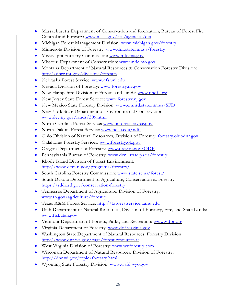- Massachusetts Department of Conservation and Recreation, Bureau of Forest Fire Control and Forestry: [www.mass.gov/eea/agencies/dcr](http://www.mass.gov/eea/agencies/dcr)
- Michigan Forest Management Division: [www.michigan.gov/forestry](http://www.michigan.gov/forestry)
- Minnesota Division of Forestry: [www.dnr.state.mn.us/forestry](http://www.dnr.state.mn.us/forestry)
- Mississippi Forestry Commission: [www.mfc.ms.gov](http://www.mfc.ms.gov/)
- Missouri Department of Conservation: www.mdc.mo.gov
- Montana Department of Natural Resources & Conservation Forestry Division: <http://dnrc.mt.gov/divisions/forestry>
- Nebraska Forest Service: [www.nfs.unl.edu](http://www.nfs.unl.edu/)
- Nevada Division of Forestry: [www.forestry.nv.gov](http://www.forestry.nv.gov/)
- New Hampshire Division of Forests and Lands: [www.nhdfl.org](http://www.nhdfl.org/)
- New Jersey State Forest Service: [www.forestry.nj.gov](http://www.forestry.nj.gov/)
- New Mexico State Forestry Division: [www.emnrd.state.nm.us/SFD](http://www.emnrd.state.nm.us/SFD)
- New York State Department of Environmental Conservation: [www.dec.ny.gov/lands/309.html](http://www.dec.ny.gov/lands/309.html)
- North Carolina Forest Service: [www.ncforestservice.gov](http://www.ncforestservice.gov/)
- North Dakota Forest Service: [www.ndsu.edu/ndfs](http://www.ndsu.edu/ndfs)
- Ohio Division of Natural Resources, Division of Forestry: [forestry.ohiodnr.gov](http://forestry.ohiodnr.gov/)
- Oklahoma Forestry Services: [www.forestry.ok.gov](http://www.forestry.ok.gov/)
- Oregon Department of Forestry: [www.oregon.gov/ODF](http://www.oregon.gov/ODF)
- Pennsylvania Bureau of Forestry: [www.dcnr.state.pa.us/forestry](http://www.dcnr.state.pa.us/forestry)
- Rhode Island Division of Forest Environment: <http://www.dem.ri.gov/programs/forestry/>
- South Carolina Forestry Commission: [www.state.sc.us/forest/](http://www.state.sc.us/forest/)
- South Dakota Department of Agriculture, Conservation & Forestry: <https://sdda.sd.gov/conservation-forestry>
- Tennessee Department of Agriculture, Division of Forestry: [www.tn.gov/agriculture/forestry](http://www.tn.gov/agriculture/forestry)
- Texas A&M Forest Service: [http://txforestservice.tamu.edu](http://txforestservice.tamu.edu/)
- Utah Department of Natural Resources, Division of Forestry, Fire, and State Lands: [www.ffsl.utah.gov](http://www.ffsl.utah.gov/)
- Vermont Department of Forests, Parks, and Recreation: [www.vtfpr.org](http://www.vtfpr.org/)
- Virginia Department of Forestry: [www.dof.virginia.gov](http://www.dof.virginia.gov/)
- Washington State Department of Natural Resources, Forestry Division: <http://www.dnr.wa.gov/page/forest-resources-0>
- West Virginia Division of Forestry: [www.wvforestry.com](http://www.wvforestry.com/)
- Wisconsin Department of Natural Resources, Division of Forestry: <http://dnr.wi.gov/topic/forestry.html>
- Wyoming State Forestry Division: [www.wsfd.wyo.gov](http://www.wsfd.wyo.gov/)